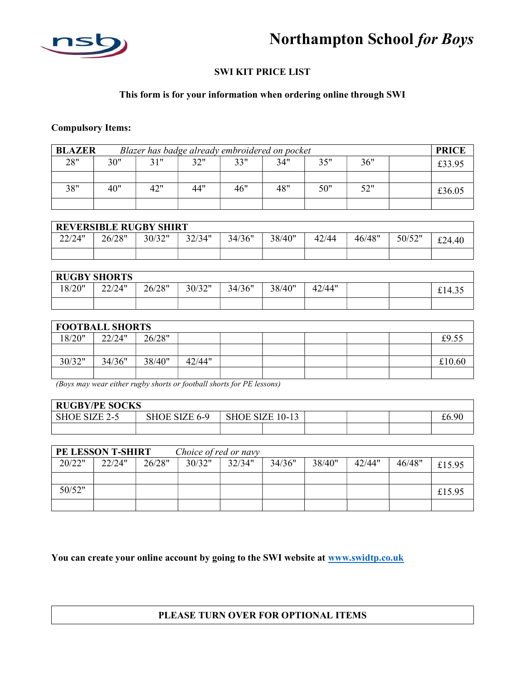



## SWI KIT PRICE LIST

#### This form is for your information when ordering online through SWI

#### Compulsory Items:

| <b>BLAZER</b> | Blazer has badge already embroidered on pocket |     |     |     |     |     |     |  |        |  |
|---------------|------------------------------------------------|-----|-----|-----|-----|-----|-----|--|--------|--|
| 28"           | 30"                                            | 31" | 32" | 33" | 34" | 35" | 36" |  | £33.95 |  |
|               |                                                |     |     |     |     |     |     |  |        |  |
| 38"           | 40"                                            | 42" | 44" | 46" | 48" | 50" | 52" |  | £36.05 |  |
|               |                                                |     |     |     |     |     |     |  |        |  |

| <b>REVERSIBLE RUGBY SHIRT</b> |        |        |        |        |        |       |        |        |        |  |  |  |
|-------------------------------|--------|--------|--------|--------|--------|-------|--------|--------|--------|--|--|--|
| 22/24"                        | 26/28" | 30/32" | 32/34" | 34/36" | 38/40" | 42/44 | 46/48" | 50/52" | £24.40 |  |  |  |
|                               |        |        |        |        |        |       |        |        |        |  |  |  |

| <b>RUGBY SHORTS</b> |        |        |        |        |        |        |  |  |        |  |  |
|---------------------|--------|--------|--------|--------|--------|--------|--|--|--------|--|--|
| 18/20"              | 22/24" | 26/28" | 30/32" | 34/36" | 38/40" | 42/44" |  |  | £14.35 |  |  |
|                     |        |        |        |        |        |        |  |  |        |  |  |

| <b>FOOTBALL SHORTS</b> |        |        |        |  |  |  |  |  |        |  |
|------------------------|--------|--------|--------|--|--|--|--|--|--------|--|
| 18/20"                 | 22/24" | 26/28" |        |  |  |  |  |  | £9.55  |  |
|                        |        |        |        |  |  |  |  |  |        |  |
| 30/32"                 | 34/36" | 38/40" | 42/44" |  |  |  |  |  | £10.60 |  |
|                        |        |        |        |  |  |  |  |  |        |  |

(Boys may wear either rugby shorts or football shorts for PE lessons)

| <b>RUGBY/PE SOCKS</b> |               |                 |  |  |  |           |  |  |  |
|-----------------------|---------------|-----------------|--|--|--|-----------|--|--|--|
| SHOE SIZE 2-5         | SHOE SIZE 6-9 | SHOE SIZE 10-13 |  |  |  | £6.<br>90 |  |  |  |
|                       |               |                 |  |  |  |           |  |  |  |

| PE LESSON T-SHIRT |        |        | Choice of red or navy |        |        |        |        |        |        |
|-------------------|--------|--------|-----------------------|--------|--------|--------|--------|--------|--------|
| 20/22"            | 22/24" | 26/28" | 30/32"                | 32/34" | 34/36" | 38/40" | 42/44" | 46/48" | £15.95 |
|                   |        |        |                       |        |        |        |        |        |        |
| 50/52"            |        |        |                       |        |        |        |        |        | £15.95 |
|                   |        |        |                       |        |        |        |        |        |        |

You can create your online account by going to the SWI website at **www.swidtp.co.uk** 

### PLEASE TURN OVER FOR OPTIONAL ITEMS